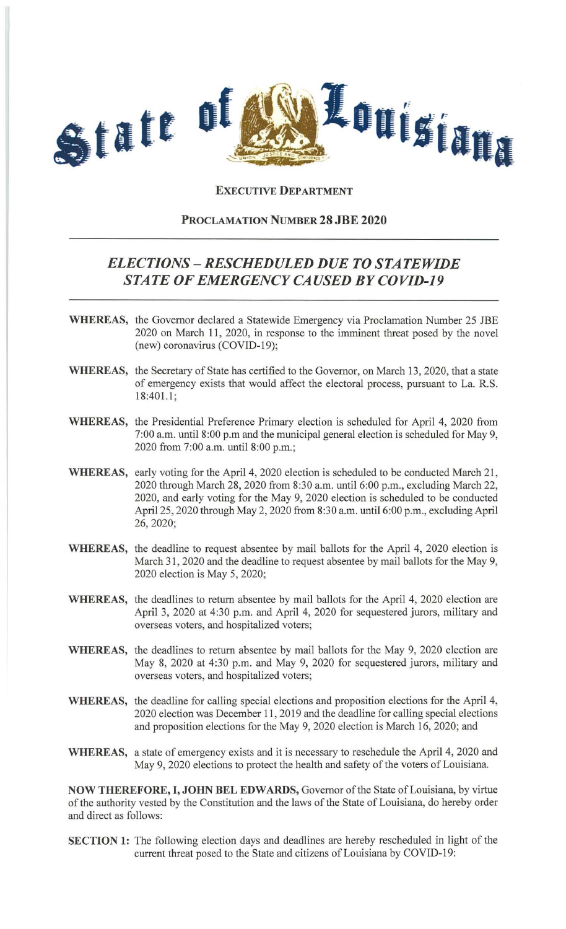

## **EXECUTIVE DEPARTMENT**

## **PROCLAMATION NUMBER 28 JBE 2020**

## *ELECTIONS* **-** *RESCHEDULED DUE TO STATEWIDE STATE OF EMERGENCY CAUSED BY COVID-19*

- **WHEREAS,** the Governor declared a Statewide Emergency via Proclamation Number 25 JBE 2020 on March 11, 2020, in response to the imminent threat posed by the novel (new) coronavirus (COVID-19);
- **WHEREAS,** the Secretary of State has certified to the Governor, on March 13, 2020, that a state of emergency exists that would affect the electoral process, pursuant to La. R.S. 18:401.1;
- **WHEREAS,** the Presidential Preference Primary election is scheduled for April 4, 2020 from 7:00 a.m. until 8:00 p.m and the municipal general election is scheduled for May 9, 2020 from 7:00 a.m. until 8:00 p.m.;
- WHEREAS, early voting for the April 4, 2020 election is scheduled to be conducted March 21, 2020 through March 28, 2020 from 8:30 a.m. until 6:00 p.m., excluding March 22, 2020, and early voting for the May 9, 2020 election is scheduled to be conducted April 25, 2020 through May 2,2020 from 8:30 a.m. until 6:00 p.m., excluding April 26,2020;
- **WHEREAS,** the deadline to request absentee by mail ballots for the April 4, 2020 election is March 31, 2020 and the deadline to request absentee by mail ballots for the May 9, 2020 election is May 5, 2020;
- **WHEREAS,** the deadlines to return absentee by mail ballots for the April 4, 2020 election are April 3, 2020 at 4:30 p.m. and April 4, 2020 for sequestered jurors, military and overseas voters, and hospitalized voters;
- **WHEREAS,** the deadlines to return absentee by mail ballots for the May 9, 2020 election are May 8, 2020 at 4:30 p.m. and May 9, 2020 for sequestered jurors, military and overseas voters, and hospitalized voters;
- **WHEREAS,** the deadline for calling special elections and proposition elections for the April 4, 2020 election was December 11 , 2019 and the deadline for calling special elections and proposition elections for the May 9, 2020 election is March 16, 2020; and
- **WHEREAS,** a state of emergency exists and it is necessary to reschedule the April 4, 2020 and May 9, 2020 elections to protect the health and safety of the voters of Louisiana.

**NOW THEREFORE, I, JOHN BEL EDWARDS,** Governor of the State of Louisiana, by virtue of the authority vested by the Constitution and the laws of the State of Louisiana, do hereby order and direct as follows:

**SECTION 1:** The following election days and deadlines are hereby rescheduled in light of the current threat posed to the State and citizens of Louisiana by COVID-19: